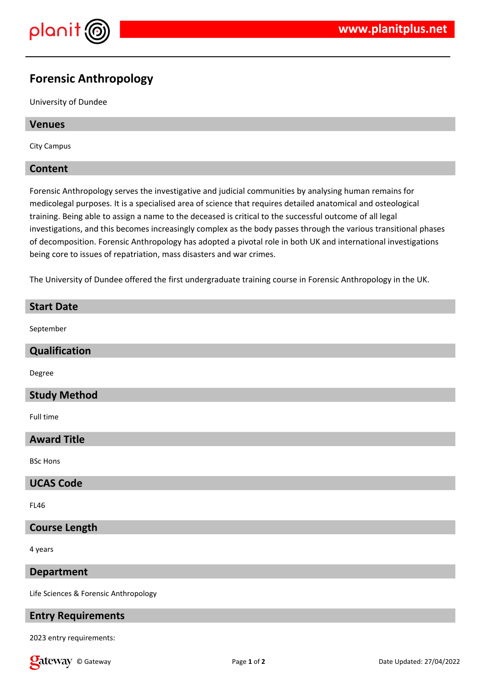

# **Forensic Anthropology**

University of Dundee

# **Venues**

City Campus

### **Content**

Forensic Anthropology serves the investigative and judicial communities by analysing human remains for medicolegal purposes. It is a specialised area of science that requires detailed anatomical and osteological training. Being able to assign a name to the deceased is critical to the successful outcome of all legal investigations, and this becomes increasingly complex as the body passes through the various transitional phases of decomposition. Forensic Anthropology has adopted a pivotal role in both UK and international investigations being core to issues of repatriation, mass disasters and war crimes.

The University of Dundee offered the first undergraduate training course in Forensic Anthropology in the UK.

# **Start Date** September **Qualification** Degree **Study Method** Full time **Award Title** BSc Hons **UCAS Code** FL46 **Course Length** 4 years **Department** Life Sciences & Forensic Anthropology

# **Entry Requirements**

2023 entry requirements:

**Call Community** Called: 27/04/2022 **Page 1** of **2 Community Date Updated: 27/04/2022**